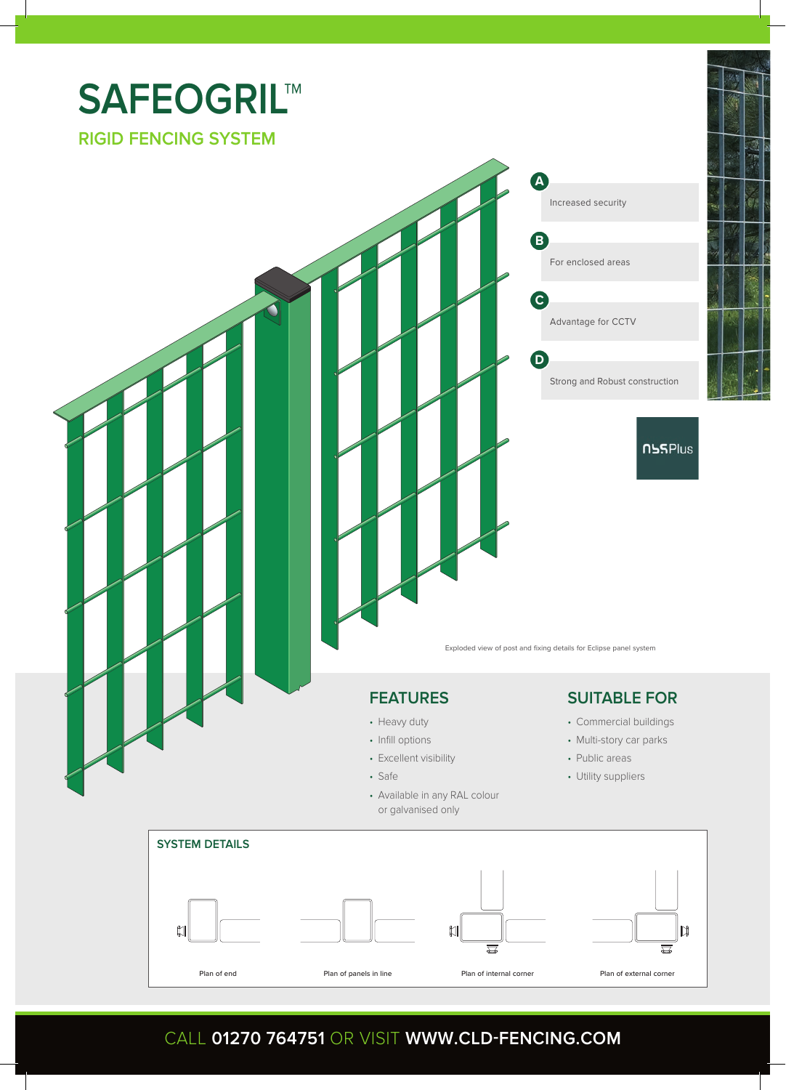

## CALL **01270 764751** OR VISIT **WWW.CLD-FENCING.COM**